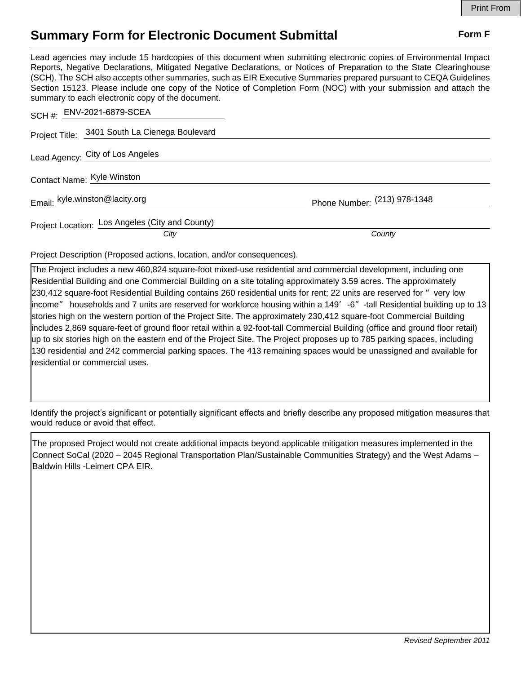## **Summary Form for Electronic Document Submittal Form F Form F**

Lead agencies may include 15 hardcopies of this document when submitting electronic copies of Environmental Impact Reports, Negative Declarations, Mitigated Negative Declarations, or Notices of Preparation to the State Clearinghouse (SCH). The SCH also accepts other summaries, such as EIR Executive Summaries prepared pursuant to CEQA Guidelines Section 15123. Please include one copy of the Notice of Completion Form (NOC) with your submission and attach the summary to each electronic copy of the document.

| SCH #: ENV-2021-6879-SCEA                               |                              |
|---------------------------------------------------------|------------------------------|
| Project Title: 3401 South La Cienega Boulevard          |                              |
| Lead Agency: City of Los Angeles                        |                              |
| Contact Name: Kyle Winston                              |                              |
| Email: kyle.winston@lacity.org                          | Phone Number: (213) 978-1348 |
| Project Location: Los Angeles (City and County)<br>City | County                       |
|                                                         |                              |

Project Description (Proposed actions, location, and/or consequences).

The Project includes a new 460,824 square-foot mixed-use residential and commercial development, including one Residential Building and one Commercial Building on a site totaling approximately 3.59 acres. The approximately 230,412 square-foot Residential Building contains 260 residential units for rent; 22 units are reserved for "very low income" households and 7 units are reserved for workforce housing within a 149'-6"-tall Residential building up to 13 stories high on the western portion of the Project Site. The approximately 230,412 square-foot Commercial Building includes 2,869 square-feet of ground floor retail within a 92-foot-tall Commercial Building (office and ground floor retail) up to six stories high on the eastern end of the Project Site. The Project proposes up to 785 parking spaces, including 130 residential and 242 commercial parking spaces. The 413 remaining spaces would be unassigned and available for residential or commercial uses.

Identify the project's significant or potentially significant effects and briefly describe any proposed mitigation measures that would reduce or avoid that effect.

The proposed Project would not create additional impacts beyond applicable mitigation measures implemented in the Connect SoCal (2020 – 2045 Regional Transportation Plan/Sustainable Communities Strategy) and the West Adams – Baldwin Hills -Leimert CPA EIR.